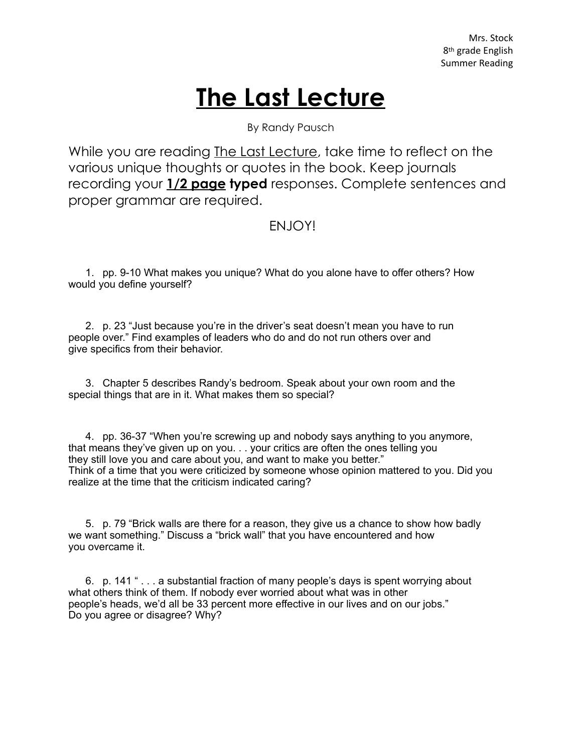## **The Last Lecture**

By Randy Pausch

While you are reading The Last Lecture, take time to reflect on the various unique thoughts or quotes in the book. Keep journals recording your **1/2 page typed** responses. Complete sentences and proper grammar are required.

## ENJOY!

1. pp. 9-10 What makes you unique? What do you alone have to offer others? How would you define yourself?

2. p. 23 "Just because you're in the driver's seat doesn't mean you have to run people over." Find examples of leaders who do and do not run others over and give specifics from their behavior.

3. Chapter 5 describes Randy's bedroom. Speak about your own room and the special things that are in it. What makes them so special?

4. pp. 36-37 "When you're screwing up and nobody says anything to you anymore, that means they've given up on you. . . your critics are often the ones telling you they still love you and care about you, and want to make you better." Think of a time that you were criticized by someone whose opinion mattered to you. Did you realize at the time that the criticism indicated caring?

5. p. 79 "Brick walls are there for a reason, they give us a chance to show how badly we want something." Discuss a "brick wall" that you have encountered and how you overcame it.

6. p. 141 " . . . a substantial fraction of many people's days is spent worrying about what others think of them. If nobody ever worried about what was in other people's heads, we'd all be 33 percent more effective in our lives and on our jobs." Do you agree or disagree? Why?